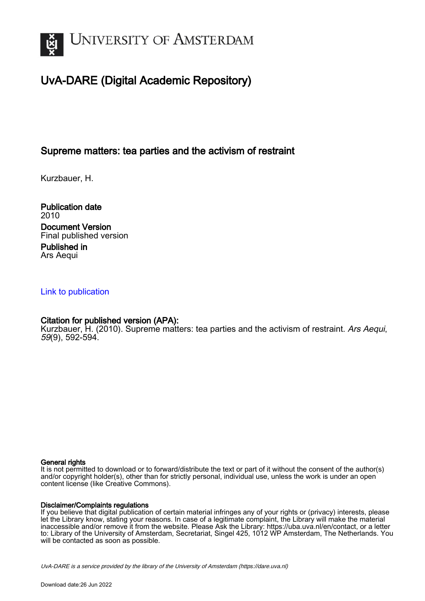

## UvA-DARE (Digital Academic Repository)

## Supreme matters: tea parties and the activism of restraint

Kurzbauer, H.

Publication date 2010 Document Version Final published version Published in Ars Aequi

#### [Link to publication](https://dare.uva.nl/personal/pure/en/publications/supreme-matters-tea-parties-and-the-activism-of-restraint(c6e4d419-8ea3-43d4-ac5b-25df9cd01304).html)

### Citation for published version (APA):

Kurzbauer, H. (2010). Supreme matters: tea parties and the activism of restraint. Ars Aequi, 59(9), 592-594.

#### General rights

It is not permitted to download or to forward/distribute the text or part of it without the consent of the author(s) and/or copyright holder(s), other than for strictly personal, individual use, unless the work is under an open content license (like Creative Commons).

#### Disclaimer/Complaints regulations

If you believe that digital publication of certain material infringes any of your rights or (privacy) interests, please let the Library know, stating your reasons. In case of a legitimate complaint, the Library will make the material inaccessible and/or remove it from the website. Please Ask the Library: https://uba.uva.nl/en/contact, or a letter to: Library of the University of Amsterdam, Secretariat, Singel 425, 1012 WP Amsterdam, The Netherlands. You will be contacted as soon as possible.

UvA-DARE is a service provided by the library of the University of Amsterdam (http*s*://dare.uva.nl)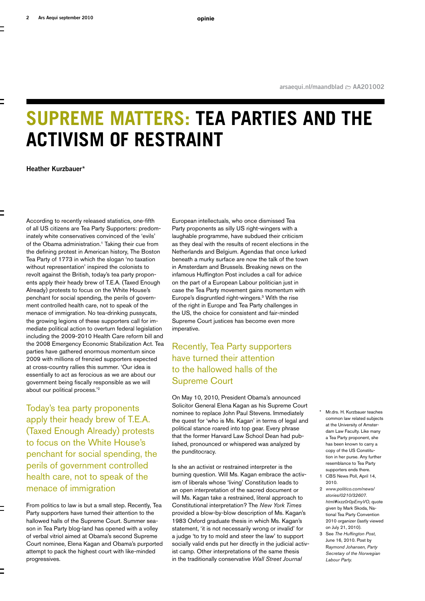# **Supreme Matters: Tea Parties and the Activism of Restraint**

**Heather Kurzbauer\***

According to recently released statistics, one-fifth of all US citizens are Tea Party Supporters: predominately white conservatives convinced of the 'evils' of the Obama administration.<sup>1</sup> Taking their cue from the defining protest in American history, The Boston Tea Party of 1773 in which the slogan 'no taxation without representation' inspired the colonists to revolt against the British, today's tea party proponents apply their heady brew of T.E.A. (Taxed Enough Already) protests to focus on the White House's penchant for social spending, the perils of government controlled health care, not to speak of the menace of immigration. No tea-drinking pussycats, the growing legions of these supporters call for immediate political action to overturn federal legislation including the 2009-2010 Health Care reform bill and the 2008 Emergency Economic Stabilization Act. Tea parties have gathered enormous momentum since 2009 with millions of frenzied supporters expected at cross-country rallies this summer. 'Our idea is essentially to act as ferocious as we are about our government being fiscally responsible as we will about our political process.'2

Today's tea party proponents apply their heady brew of T.E.A. (Taxed Enough Already) protests to focus on the White House's penchant for social spending, the perils of government controlled health care, not to speak of the menace of immigration

From politics to law is but a small step. Recently, Tea Party supporters have turned their attention to the hallowed halls of the Supreme Court. Summer season in Tea Party blog-land has opened with a volley of verbal vitriol aimed at Obama's second Supreme Court nominee, Elena Kagan and Obama's purported attempt to pack the highest court with like-minded progressives.

European intellectuals, who once dismissed Tea Party proponents as silly US right-wingers with a laughable programme, have subdued their criticism as they deal with the results of recent elections in the Netherlands and Belgium. Agendas that once lurked beneath a murky surface are now the talk of the town in Amsterdam and Brussels. Breaking news on the infamous Huffington Post includes a call for advice on the part of a European Labour politician just in case the Tea Party movement gains momentum with Europe's disgruntled right-wingers.3 With the rise of the right in Europe and Tea Party challenges in the US, the choice for consistent and fair-minded Supreme Court justices has become even more imperative.

## Recently, Tea Party supporters have turned their attention to the hallowed halls of the Supreme Court

On May 10, 2010, President Obama's announced Solicitor General Elena Kagan as his Supreme Court nominee to replace John Paul Stevens. Immediately the quest for 'who is Ms. Kagan' in terms of legal and political stance roared into top gear. Every phrase that the former Harvard Law School Dean had published, pronounced or whispered was analyzed by the punditocracy.

Is she an activist or restrained interpreter is the burning question. Will Ms. Kagan embrace the activism of liberals whose 'living' Constitution leads to an open interpretation of the sacred document or will Ms. Kagan take a restrained, literal approach to Constitutional interpretation? The *New York Times* provided a blow-by-blow description of Ms. Kagan's 1983 Oxford graduate thesis in which Ms. Kagan's statement, 'it is not necessarily wrong or invalid' for a judge 'to try to mold and steer the law' to support socially valid ends put her directly in the judicial activist camp. Other interpretations of the same thesis in the traditionally conservative *Wall Street Journal*

- \* Mr.drs. H. Kurzbauer teaches common law related subjects at the University of Amsterdam Law Faculty. Like many a Tea Party proponent, she has been known to carry a copy of the US Constitution in her purse. Any further resemblance to Tea Party supporters ends there.
- 1 CBS News Poll, April 14, 2010.
- 2 *www.politico.com/news/ stories/0210/32607. html#ixzz0r0pEmyVO*, quote given by Mark Skoda, National Tea Party Convention 2010 organizer (lastly viewed on July 21, 2010).
- 3 See *The Huffington Post*, June 16, 2010. Post by R*aymond Johansen, Party Secretary of the Norwegian Labour Party.*